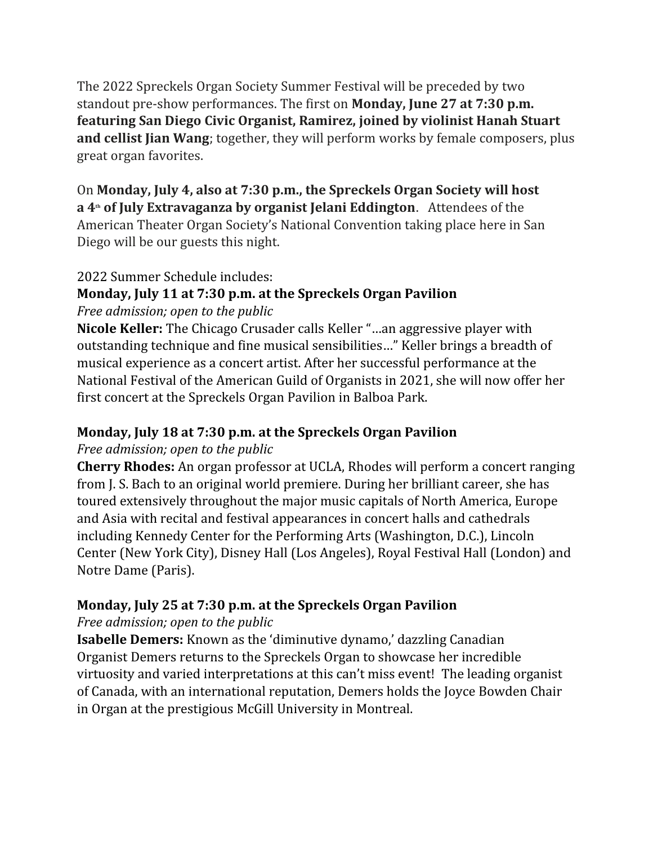The 2022 Spreckels Organ Society Summer Festival will be preceded by two standout pre-show performances. The first on **Monday, June 27 at 7:30 p.m. featuring San Diego Civic Organist, Ramirez, joined by violinist Hanah Stuart and cellist Jian Wang**; together, they will perform works by female composers, plus great organ favorites.

On **Monday, July 4, also at 7:30 p.m., the Spreckels Organ Society will host a 4th of July Extravaganza by organist Jelani Eddington**. Attendees of the American Theater Organ Society's National Convention taking place here in San Diego will be our guests this night.

#### 2022 Summer Schedule includes:

# **Monday, July 11 at 7:30 p.m. at the Spreckels Organ Pavilion**

*Free admission; open to the public*

**Nicole Keller:** The Chicago Crusader calls Keller "…an aggressive player with outstanding technique and fine musical sensibilities…" Keller brings a breadth of musical experience as a concert artist. After her successful performance at the National Festival of the American Guild of Organists in 2021, she will now offer her first concert at the Spreckels Organ Pavilion in Balboa Park.

## **Monday, July 18 at 7:30 p.m. at the Spreckels Organ Pavilion**

*Free admission; open to the public*

**Cherry Rhodes:** An organ professor at UCLA, Rhodes will perform a concert ranging from J. S. Bach to an original world premiere. During her brilliant career, she has toured extensively throughout the major music capitals of North America, Europe and Asia with recital and festival appearances in concert halls and cathedrals including Kennedy Center for the Performing Arts (Washington, D.C.), Lincoln Center (New York City), Disney Hall (Los Angeles), Royal Festival Hall (London) and Notre Dame (Paris).

## **Monday, July 25 at 7:30 p.m. at the Spreckels Organ Pavilion**

#### *Free admission; open to the public*

**Isabelle Demers:** Known as the 'diminutive dynamo,' dazzling Canadian Organist Demers returns to the Spreckels Organ to showcase her incredible virtuosity and varied interpretations at this can't miss event! The leading organist of Canada, with an international reputation, Demers holds the Joyce Bowden Chair in Organ at the prestigious McGill University in Montreal.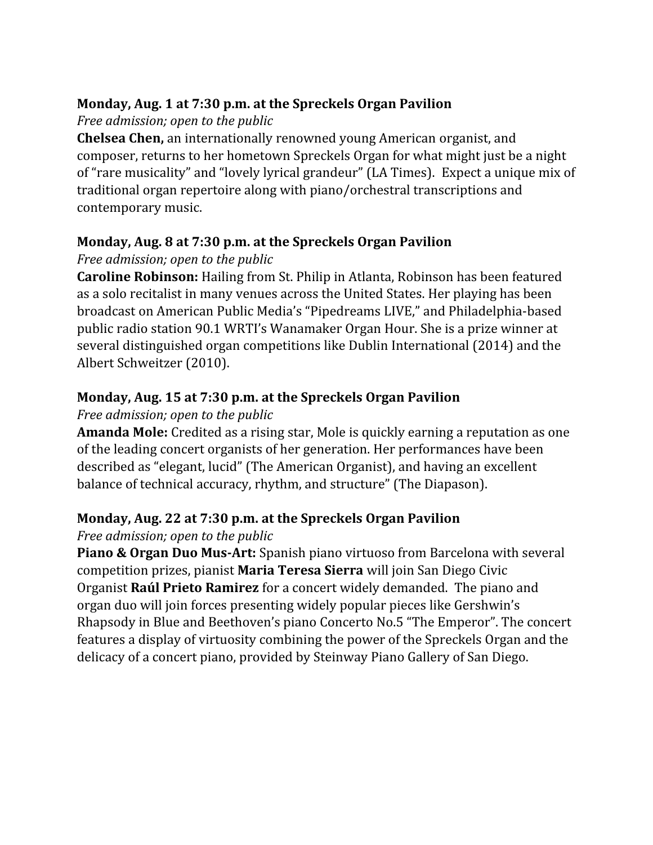### **Monday, Aug. 1 at 7:30 p.m. at the Spreckels Organ Pavilion**

*Free admission; open to the public*

**Chelsea Chen,** an internationally renowned young American organist, and composer, returns to her hometown Spreckels Organ for what might just be a night of "rare musicality" and "lovely lyrical grandeur" (LA Times). Expect a unique mix of traditional organ repertoire along with piano/orchestral transcriptions and contemporary music.

## **Monday, Aug. 8 at 7:30 p.m. at the Spreckels Organ Pavilion**

## *Free admission; open to the public*

**Caroline Robinson:** Hailing from St. Philip in Atlanta, Robinson has been featured as a solo recitalist in many venues across the United States. Her playing has been broadcast on American Public Media's "Pipedreams LIVE," and Philadelphia-based public radio station 90.1 WRTI's Wanamaker Organ Hour. She is a prize winner at several distinguished organ competitions like Dublin International (2014) and the Albert Schweitzer (2010).

## **Monday, Aug. 15 at 7:30 p.m. at the Spreckels Organ Pavilion**

### *Free admission; open to the public*

**Amanda Mole:** Credited as a rising star, Mole is quickly earning a reputation as one of the leading concert organists of her generation. Her performances have been described as "elegant, lucid" (The American Organist), and having an excellent balance of technical accuracy, rhythm, and structure" (The Diapason).

## **Monday, Aug. 22 at 7:30 p.m. at the Spreckels Organ Pavilion**

## *Free admission; open to the public*

**Piano & Organ Duo Mus-Art:** Spanish piano virtuoso from Barcelona with several competition prizes, pianist **Maria Teresa Sierra** will join San Diego Civic Organist **Raúl Prieto Ramirez** for a concert widely demanded. The piano and organ duo will join forces presenting widely popular pieces like Gershwin's Rhapsody in Blue and Beethoven's piano Concerto No.5 "The Emperor". The concert features a display of virtuosity combining the power of the Spreckels Organ and the delicacy of a concert piano, provided by Steinway Piano Gallery of San Diego.